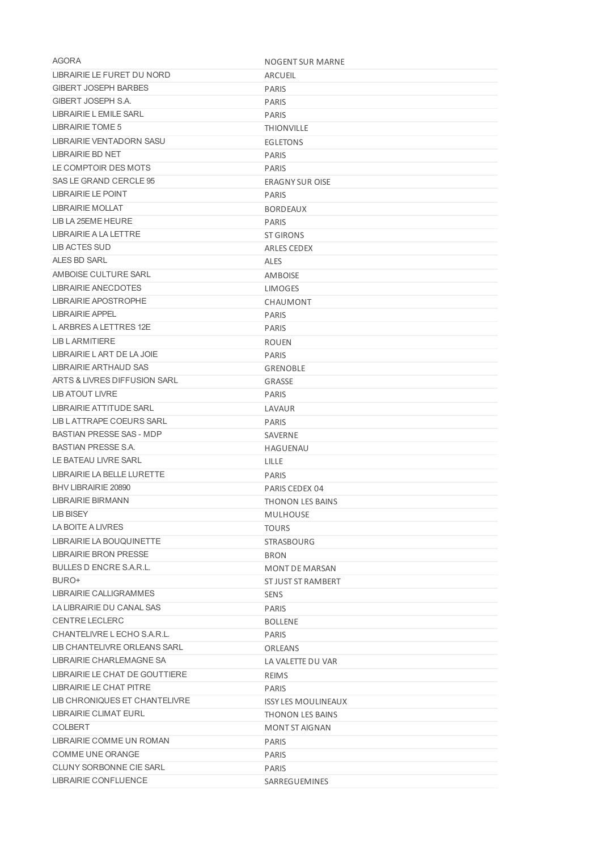| AGORA                                                  | NOGENT SUR MARNE           |
|--------------------------------------------------------|----------------------------|
| LIBRAIRIE LE FURET DU NORD                             | <b>ARCUEIL</b>             |
| <b>GIBERT JOSEPH BARBES</b>                            | <b>PARIS</b>               |
| GIBERT JOSEPH S.A.                                     | <b>PARIS</b>               |
| LIBRAIRIE LEMILE SARL                                  | <b>PARIS</b>               |
| LIBRAIRIE TOME 5                                       | <b>THIONVILLE</b>          |
| LIBRAIRIE VENTADORN SASU                               | <b>EGLETONS</b>            |
| <b>LIBRAIRIE BD NET</b>                                | <b>PARIS</b>               |
| LE COMPTOIR DES MOTS                                   | <b>PARIS</b>               |
| SAS LE GRAND CERCLE 95                                 | <b>ERAGNY SUR OISE</b>     |
| LIBRAIRIE LE POINT                                     | PARIS                      |
| <b>LIBRAIRIE MOLLAT</b>                                | <b>BORDEAUX</b>            |
| LIB LA 25EME HEURE                                     | <b>PARIS</b>               |
| LIBRAIRIE A LA LETTRE                                  | <b>ST GIRONS</b>           |
| LIB ACTES SUD                                          | ARLES CEDEX                |
| ALES BD SARL                                           | <b>ALES</b>                |
| AMBOISE CULTURE SARL                                   | AMBOISE                    |
| LIBRAIRIE ANECDOTES                                    | <b>LIMOGES</b>             |
| LIBRAIRIE APOSTROPHE                                   | CHAUMONT                   |
| LIBRAIRIE APPEL                                        | PARIS                      |
| L ARBRES A LETTRES 12E                                 | <b>PARIS</b>               |
| LIB L ARMITIERE                                        | <b>ROUEN</b>               |
| LIBRAIRIE LART DE LA JOIE                              | <b>PARIS</b>               |
| LIBRAIRIE ARTHAUD SAS                                  | <b>GRENOBLE</b>            |
| ARTS & LIVRES DIFFUSION SARL                           | GRASSE                     |
| LIB ATOUT LIVRE                                        | <b>PARIS</b>               |
| LIBRAIRIE ATTITUDE SARL                                | LAVAUR                     |
| LIB L ATTRAPE COEURS SARL                              | <b>PARIS</b>               |
| <b>BASTIAN PRESSE SAS - MDP</b>                        | SAVERNE                    |
| <b>BASTIAN PRESSE S.A.</b>                             | <b>HAGUENAU</b>            |
| LE BATEAU LIVRE SARL                                   | LILLE                      |
| LIBRAIRIE LA BELLE LURETTE                             | <b>PARIS</b>               |
| BHV LIBRAIRIE 20890                                    | PARIS CEDEX 04             |
| LIBRAIRIE BIRMANN                                      | <b>THONON LES BAINS</b>    |
| <b>LIB BISEY</b>                                       | <b>MULHOUSE</b>            |
| LA BOITE A LIVRES                                      | <b>TOURS</b>               |
| LIBRAIRIE LA BOUQUINETTE                               | <b>STRASBOURG</b>          |
| LIBRAIRIE BRON PRESSE                                  | <b>BRON</b>                |
| <b>BULLES D ENCRE S.A.R.L.</b>                         | <b>MONT DE MARSAN</b>      |
| BURO+                                                  | ST JUST ST RAMBERT         |
| LIBRAIRIE CALLIGRAMMES                                 | <b>SENS</b>                |
| LA LIBRAIRIE DU CANAL SAS                              | <b>PARIS</b>               |
| <b>CENTRE LECLERC</b>                                  | <b>BOLLENE</b>             |
| CHANTELIVRE L ECHO S.A.R.L.                            | <b>PARIS</b>               |
| LIB CHANTELIVRE ORLEANS SARL                           | ORLEANS                    |
| LIBRAIRIE CHARLEMAGNE SA                               | LA VALETTE DU VAR          |
| LIBRAIRIE LE CHAT DE GOUTTIERE                         |                            |
| LIBRAIRIE LE CHAT PITRE                                | <b>REIMS</b>               |
|                                                        | <b>PARIS</b>               |
| LIB CHRONIQUES ET CHANTELIVRE<br>LIBRAIRIE CLIMAT EURL | <b>ISSY LES MOULINEAUX</b> |
|                                                        | THONON LES BAINS           |
| <b>COLBERT</b>                                         | MONT ST AIGNAN             |
| LIBRAIRIE COMME UN ROMAN                               | <b>PARIS</b>               |
| COMME UNE ORANGE                                       | <b>PARIS</b>               |
| <b>CLUNY SORBONNE CIE SARL</b>                         | <b>PARIS</b>               |
| LIBRAIRIE CONFLUENCE                                   | SARREGUEMINES              |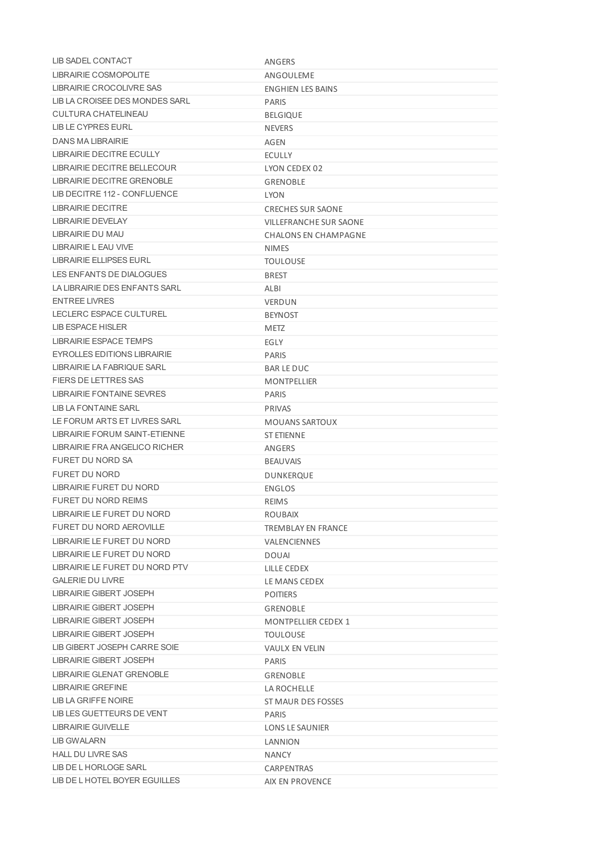| <b>LIB SADEL CONTACT</b>                 | ANGERS                        |
|------------------------------------------|-------------------------------|
| LIBRAIRIE COSMOPOLITE                    | ANGOULEME                     |
| LIBRAIRIE CROCOLIVRE SAS                 | <b>ENGHIEN LES BAINS</b>      |
| LIB LA CROISEE DES MONDES SARL           | <b>PARIS</b>                  |
| <b>CULTURA CHATELINEAU</b>               | <b>BELGIQUE</b>               |
| LIB LE CYPRES EURL                       | <b>NEVERS</b>                 |
| DANS MA LIBRAIRIE                        | AGEN                          |
| LIBRAIRIE DECITRE ECULLY                 | <b>ECULLY</b>                 |
| LIBRAIRIE DECITRE BELLECOUR              | LYON CEDEX 02                 |
| LIBRAIRIE DECITRE GRENOBLE               | <b>GRENOBLE</b>               |
| LIB DECITRE 112 - CONFLUENCE             | <b>LYON</b>                   |
| LIBRAIRIE DECITRE                        | <b>CRECHES SUR SAONE</b>      |
| LIBRAIRIE DEVELAY                        | <b>VILLEFRANCHE SUR SAONE</b> |
| LIBRAIRIE DU MAU                         | <b>CHALONS EN CHAMPAGNE</b>   |
| LIBRAIRIE L EAU VIVE                     | <b>NIMES</b>                  |
| <b>LIBRAIRIE ELLIPSES EURL</b>           | <b>TOULOUSE</b>               |
| LES ENFANTS DE DIALOGUES                 | <b>BREST</b>                  |
| LA LIBRAIRIE DES ENFANTS SARL            | ALBI                          |
| <b>FNTRFFIVRFS</b>                       | <b>VERDUN</b>                 |
| LECLERC ESPACE CULTUREL                  | <b>BEYNOST</b>                |
| LIB ESPACE HISLER                        | <b>METZ</b>                   |
| <b>LIBRAIRIE ESPACE TEMPS</b>            | EGLY                          |
| EYROLLES EDITIONS LIBRAIRIE              | <b>PARIS</b>                  |
| LIBRAIRIE LA FABRIQUE SARL               | <b>BAR LE DUC</b>             |
| <b>FIERS DE LETTRES SAS</b>              | <b>MONTPELLIER</b>            |
| <b>LIBRAIRIE FONTAINE SEVRES</b>         | <b>PARIS</b>                  |
| LIB LA FONTAINE SARL                     | PRIVAS                        |
| LE FORUM ARTS ET LIVRES SARL             | <b>MOUANS SARTOUX</b>         |
| LIBRAIRIE FORUM SAINT-ETIENNE            | <b>ST ETIENNE</b>             |
| LIBRAIRIE FRA ANGELICO RICHER            | ANGERS                        |
| FURET DU NORD SA                         | <b>BEAUVAIS</b>               |
| <b>FURET DU NORD</b>                     | DUNKERQUE                     |
| LIBRAIRIE FURET DU NORD                  | <b>ENGLOS</b>                 |
| <b>FURET DU NORD REIMS</b>               | <b>REIMS</b>                  |
| LIBRAIRIE LE FURET DU NORD               | <b>ROUBAIX</b>                |
| FURET DU NORD AEROVILLE                  | <b>TREMBI AY EN FRANCE</b>    |
| LIBRAIRIE LE FURET DU NORD               | <b>VALENCIENNES</b>           |
| LIBRAIRIE LE FURET DU NORD               | <b>DOUAI</b>                  |
| LIBRAIRIE LE FURET DU NORD PTV           | LILLE CEDEX                   |
| <b>GALERIE DU LIVRE</b>                  | LE MANS CEDEX                 |
| LIBRAIRIE GIBERT JOSEPH                  | <b>POITIERS</b>               |
| LIBRAIRIE GIBERT JOSEPH                  | GRENOBLE                      |
| LIBRAIRIE GIBERT JOSEPH                  | <b>MONTPELLIER CEDEX 1</b>    |
| <b>LIBRAIRIE GIBERT JOSEPH</b>           | <b>TOULOUSE</b>               |
| LIB GIBERT JOSEPH CARRE SOIE             | <b>VAULX EN VELIN</b>         |
| LIBRAIRIE GIBERT JOSEPH                  | <b>PARIS</b>                  |
| LIBRAIRIE GLENAT GRENOBLE                |                               |
|                                          | <b>GRENOBLE</b>               |
| LIBRAIRIE GREFINE<br>LIB LA GRIFFE NOIRE | LA ROCHELLE                   |
| LIB LES GUETTEURS DE VENT                | ST MAUR DES FOSSES            |
| LIBRAIRIE GUIVELLE                       | <b>PARIS</b>                  |
|                                          | LONS LE SAUNIER               |
| LIB GWALARN                              | LANNION                       |
| <b>HALL DU LIVRE SAS</b>                 | <b>NANCY</b>                  |
| LIB DE L HORLOGE SARL                    | CARPENTRAS                    |
| LIB DE L HOTEL BOYER EGUILLES            | AIX EN PROVENCE               |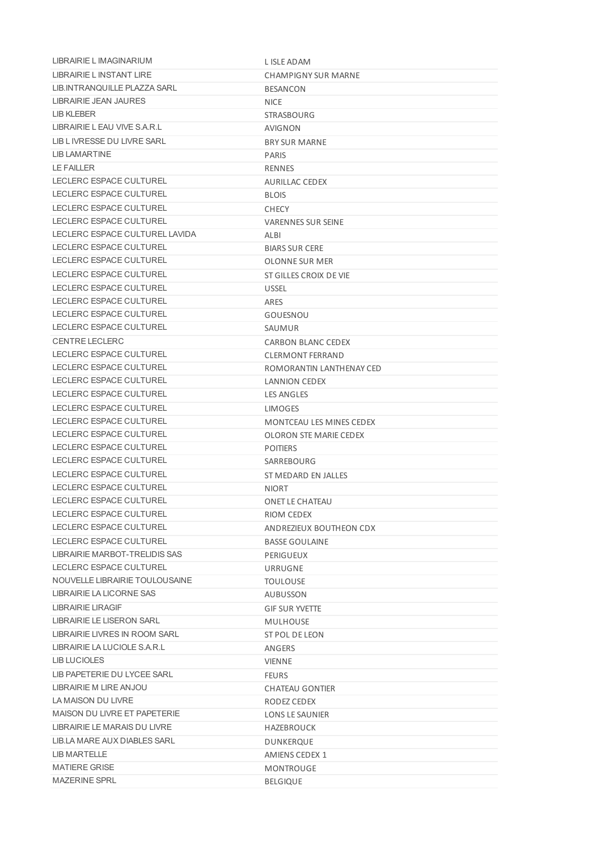| LIBRAIRIE L IMAGINARIUM          | L ISLE ADAM                     |
|----------------------------------|---------------------------------|
| <b>I IBRAIRIE I INSTANT LIRE</b> | <b>CHAMPIGNY SUR MARNE</b>      |
| LIB. INTRANQUILLE PLAZZA SARL    | <b>BESANCON</b>                 |
| LIBRAIRIE JEAN JAURES            | <b>NICE</b>                     |
| LIB KLEBER                       | <b>STRASBOURG</b>               |
| LIBRAIRIE LEAU VIVE S.A.R.L      | <b>AVIGNON</b>                  |
| LIB L IVRESSE DU LIVRE SARL      | <b>BRY SUR MARNE</b>            |
| <b>LIB LAMARTINE</b>             | <b>PARIS</b>                    |
| <b>LE FAILLER</b>                | RENNES                          |
| LECLERC ESPACE CULTUREL          | AURILLAC CEDEX                  |
| LECLERC ESPACE CULTUREL          | <b>BLOIS</b>                    |
| LECLERC ESPACE CULTUREL          | <b>CHECY</b>                    |
| LECLERC ESPACE CULTUREL          | <b>VARENNES SUR SEINE</b>       |
| LECLERC ESPACE CULTUREL LAVIDA   | ALBI                            |
| LECLERC ESPACE CULTUREL          | <b>BIARS SUR CERE</b>           |
| LECLERC ESPACE CULTUREL          | OLONNE SUR MER                  |
| LECLERC ESPACE CULTUREL          | ST GILLES CROIX DE VIE          |
| LECLERC ESPACE CULTUREL          | <b>USSEL</b>                    |
| LECLERC ESPACE CULTUREL          | ARES                            |
| LECLERC ESPACE CULTUREL          | GOUESNOU                        |
| LECLERC ESPACE CULTUREL          | SAUMUR                          |
| <b>CENTRE LECLERC</b>            | CARBON BLANC CEDEX              |
| LECLERC ESPACE CULTUREL          | <b>CLERMONT FERRAND</b>         |
| LECLERC ESPACE CULTUREL          | ROMORANTIN LANTHENAY CED        |
| LECLERC ESPACE CULTUREL          | LANNION CEDEX                   |
| LECLERC ESPACE CULTUREL          | <b>LES ANGLES</b>               |
| LECLERC ESPACE CULTUREL          | <b>LIMOGES</b>                  |
| LECLERC ESPACE CULTUREL          | <b>MONTCEAU LES MINES CEDEX</b> |
| LECLERC ESPACE CULTUREL          | <b>OLORON STE MARIE CEDEX</b>   |
| LECLERC ESPACE CULTUREL          | <b>POITIERS</b>                 |
| LECLERC ESPACE CULTUREL          | SARREBOURG                      |
| LECLERC ESPACE CULTUREL          | ST MEDARD EN JALLES             |
| LECLERC ESPACE CULTUREL          | <b>NIORT</b>                    |
| LECLERC ESPACE CULTUREL          | <b>ONET LE CHATEAU</b>          |
| LECLERC ESPACE CULTUREL          | RIOM CEDEX                      |
| LECLERC ESPACE CULTUREL          | ANDREZIEUX BOUTHEON CDX         |
| LECLERC ESPACE CULTUREL          | <b>BASSE GOULAINE</b>           |
| LIBRAIRIE MARBOT-TRELIDIS SAS    | PERIGUEUX                       |
| LECLERC ESPACE CULTUREL          | URRUGNE                         |
| NOUVELLE LIBRAIRIE TOULOUSAINE   | <b>TOULOUSE</b>                 |
| LIBRAIRIE LA LICORNE SAS         | AUBUSSON                        |
| LIBRAIRIE LIRAGIF                | <b>GIF SUR YVETTE</b>           |
| LIBRAIRIE LE LISERON SARL        | <b>MULHOUSE</b>                 |
| LIBRAIRIE LIVRES IN ROOM SARL    | ST POL DE LEON                  |
| LIBRAIRIE LA LUCIOLE S.A.R.L     | ANGERS                          |
| LIB LUCIOLES                     | <b>VIENNE</b>                   |
| LIB PAPETERIE DU LYCEE SARL      | <b>FEURS</b>                    |
| LIBRAIRIE M LIRE ANJOU           | <b>CHATEAU GONTIER</b>          |
| LA MAISON DU LIVRE               | RODEZ CEDEX                     |
| MAISON DU LIVRE ET PAPETERIE     | LONS LE SAUNIER                 |
| LIBRAIRIE LE MARAIS DU LIVRE     | HAZEBROUCK                      |
| LIB.LA MARE AUX DIABLES SARL     | DUNKERQUE                       |
| LIB MARTELLE                     | AMIENS CEDEX 1                  |
| <b>MATIERE GRISE</b>             | <b>MONTROUGE</b>                |
| <b>MAZERINE SPRL</b>             | <b>BELGIQUE</b>                 |
|                                  |                                 |